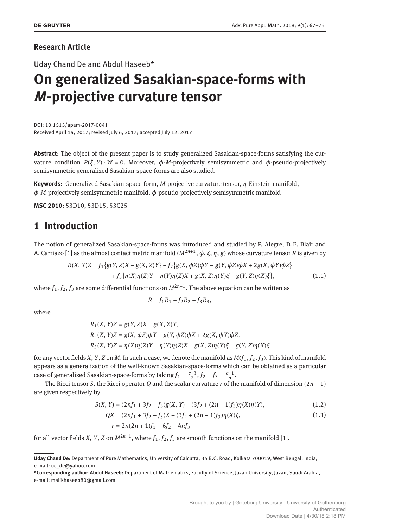#### **Research Article**

Uday Chand De and Abdul Haseeb\*

# **On generalized Sasakian-space-forms with** *M***-projective curvature tensor**

DOI: 10.1515/apam-2017-0041 Received April 14, 2017; revised July 6, 2017; accepted July 12, 2017

**Abstract:** The object of the present paper is to study generalized Sasakian-space-forms satisfying the curvature condition  $P(\xi, Y) \cdot W = 0$ . Moreover,  $\phi$ -*M*-projectively semisymmetric and  $\phi$ -pseudo-projectively semisymmetric generalized Sasakian-space-forms are also studied.

**Keywords:** Generalized Sasakian-space-form, *M*-projective curvature tensor, *η*-Einstein manifold, *ϕ*-*M*-projectively semisymmetric manifold, *ϕ*-pseudo-projectively semisymmetric manifold

**MSC 2010:** 53D10, 53D15, 53C25

#### **1 Introduction**

The notion of generalized Sasakian-space-forms was introduced and studied by P. Alegre, D. E. Blair and A. Carriazo [1] as the almost contact metric manifold (*M*2*n*+<sup>1</sup> , *ϕ*, *ξ*, *η*, *g*) whose curvature tensor *R* is given by

$$
R(X, Y)Z = f_1\{g(Y, Z)X - g(X, Z)Y\} + f_2\{g(X, \phi Z)\phi Y - g(Y, \phi Z)\phi X + 2g(X, \phi Y)\phi Z\} + f_3\{\eta(X)\eta(Z)Y - \eta(Y)\eta(Z)X + g(X, Z)\eta(Y)\xi - g(Y, Z)\eta(X)\xi\},
$$
\n(1.1)

where  $f_1, f_2, f_3$  are some differential functions on  $M^{2n+1}.$  The above equation can be written as

$$
R = f_1 R_1 + f_2 R_2 + f_3 R_3,
$$

where

$$
R_1(X, Y)Z = g(Y, Z)X - g(X, Z)Y,
$$
  
\n
$$
R_2(X, Y)Z = g(X, \phi Z)\phi Y - g(Y, \phi Z)\phi X + 2g(X, \phi Y)\phi Z,
$$
  
\n
$$
R_3(X, Y)Z = \eta(X)\eta(Z)Y - \eta(Y)\eta(Z)X + g(X, Z)\eta(Y)\xi - g(Y, Z)\eta(X)\xi
$$

for any vector fields *X*, *Y*, *Z* on *M*. In such a case, we denote the manifold as  $M(f_1, f_2, f_3)$ . This kind of manifold appears as a generalization of the well-known Sasakian-space-forms which can be obtained as a particular case of generalized Sasakian-space-forms by taking  $f_1 = \frac{c+3}{2}$ ,  $f_2 = f_3 = \frac{c-1}{4}$ .

The Ricci tensor *S*, the Ricci operator *Q* and the scalar curvature *r* of the manifold of dimension (2*n* + 1) are given respectively by

$$
S(X, Y) = (2nf1 + 3f2 - f3)g(X, Y) - (3f2 + (2n - 1)f3)\eta(X)\eta(Y),
$$
\n(1.2)

$$
QX = (2nf_1 + 3f_2 - f_3)X - (3f_2 + (2n - 1)f_3)\eta(X)\xi,
$$
\n(1.3)

$$
r = 2n(2n+1)f_1 + 6f_2 - 4nf_3
$$

for all vector fields *X*, *Y*, *Z* on  $M^{2n+1}$ , where  $f_1, f_2, f_3$  are smooth functions on the manifold [1].

**Uday Chand De:** Department of Pure Mathematics, University of Calcutta, 35 B.C. Road, Kolkata 700019, West Bengal, India, e-mail: uc\_de@yahoo.com

**<sup>\*</sup>Corresponding author: Abdul Haseeb:** Department of Mathematics, Faculty of Science, Jazan University, Jazan, Saudi Arabia, e-mail: malikhaseeb80@gmail.com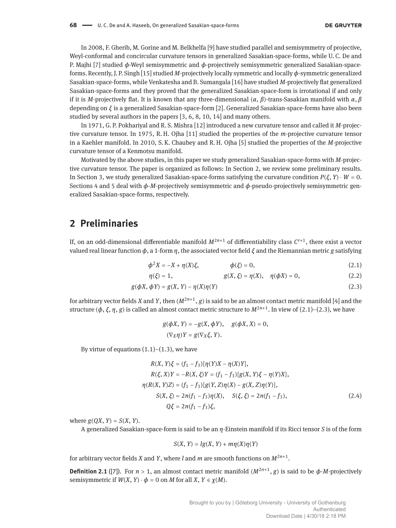In 2008, F. Gherib, M. Gorine and M. Belkhelfa [9] have studied parallel and semisymmetry of projective, Weyl-conformal and concircular curvature tensors in generalized Sasakian-space-forms, while U. C. De and P. Majhi [7] studied *ϕ*-Weyl semisymmetric and *ϕ*-projectively semisymmetric generalized Sasakian-spaceforms. Recently, J. P. Singh [15] studied *M*-projectively locally symmetric and locally *ϕ*-symmetric generalized Sasakian-space-forms, while Venkatesha and B. Sumangala [16] have studied *M*-projectively flat generalized Sasakian-space-forms and they proved that the generalized Sasakian-space-form is irrotational if and only if it is *M*-projectively flat. It is known that any three-dimensional  $(α, β)$ -trans-Sasakian manifold with  $α, β$ depending on *ξ* is a generalized Sasakian-space-form [2]. Generalized Sasakian-space-forms have also been studied by several authors in the papers [3, 6, 8, 10, 14] and many others.

In 1971, G. P. Pokhariyal and R. S. Mishra [12] introduced a new curvature tensor and called it *M*-projective curvature tensor. In 1975, R. H. Ojha [11] studied the properties of the *m*-projective curvature tensor in a Kaehler manifold. In 2010, S. K. Chaubey and R. H. Ojha [5] studied the properties of the *M*-projective curvature tensor of a Kenmotsu manifold.

Motivated by the above studies, in this paper we study generalized Sasakian-space-forms with *M*-projective curvature tensor. The paper is organized as follows: In Section 2, we review some preliminary results. In Section 3, we study generalized Sasakian-space-forms satisfying the curvature condition  $P(\xi, Y) \cdot W = 0$ . Sections 4 and 5 deal with *ϕ*-*M*-projectively semisymmetric and *ϕ*-pseudo-projectively semisymmetric generalized Sasakian-space-forms, respectively.

#### **2 Preliminaries**

If, on an odd-dimensional differentiable manifold *M*2*n*+<sup>1</sup> of differentiability class *C r*+1 , there exist a vector valued real linear function *ϕ*, a 1-form *η*, the associated vector őeld *ξ* and the Riemannian metric *g* satisfying

$$
\phi^2 X = -X + \eta(X)\xi, \qquad \phi(\xi) = 0, \tag{2.1}
$$

$$
\eta(\xi) = 1, \qquad g(X, \xi) = \eta(X), \quad \eta(\phi X) = 0, \tag{2.2}
$$

$$
g(\phi X, \phi Y) = g(X, Y) - \eta(X)\eta(Y)
$$
\n(2.3)

for arbitrary vector fields *X* and *Y*, then  $(M^{2n+1}, g)$  is said to be an almost contact metric manifold [4] and the structure  $(\phi, \xi, \eta, g)$  is called an almost contact metric structure to  $M^{2n+1}.$  In view of (2.1)–(2.3), we have

$$
g(\phi X, Y) = -g(X, \phi Y), \quad g(\phi X, X) = 0,
$$
  

$$
(\nabla_X \eta)Y = g(\nabla_X \xi, Y).
$$

By virtue of equations  $(1.1)$ – $(1.3)$ , we have

$$
R(X, Y)\xi = (f_1 - f_3)[\eta(Y)X - \eta(X)Y],
$$
  
\n
$$
R(\xi, X)Y = -R(X, \xi)Y = (f_1 - f_3)[g(X, Y)\xi - \eta(Y)X],
$$
  
\n
$$
\eta(R(X, Y)Z) = (f_1 - f_3)[g(Y, Z)\eta(X) - g(X, Z)\eta(Y)],
$$
  
\n
$$
S(X, \xi) = 2n(f_1 - f_3)\eta(X), \quad S(\xi, \xi) = 2n(f_1 - f_3),
$$
  
\n
$$
Q\xi = 2n(f_1 - f_3)\xi,
$$
\n(2.4)

where  $g(OX, Y) = S(X, Y)$ .

A generalized Sasakian-space-form is said to be an *η*-Einstein manifold if its Ricci tensor *S* is of the form

$$
S(X, Y) = lg(X, Y) + m\eta(X)\eta(Y)
$$

for arbitrary vector fields *X* and *Y*, where *l* and *m* are smooth functions on  $M^{2n+1}$ .

**Definition 2.1** ([7]). For  $n > 1$ , an almost contact metric manifold  $(M^{2n+1}, g)$  is said to be  $\phi$ -*M*-projectively semisymmetric if  $W(X, Y) \cdot \phi = 0$  on *M* for all *X*,  $Y \in \chi(M)$ .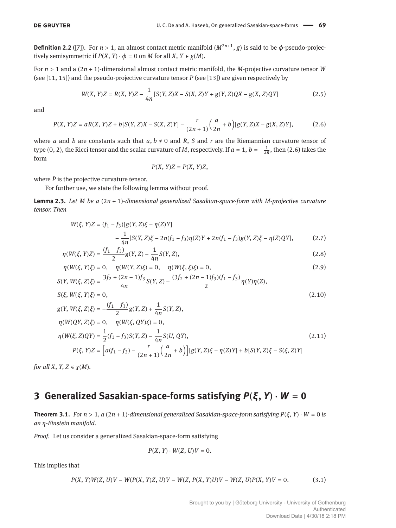**Definition 2.2** ([7]). For  $n > 1$ , an almost contact metric manifold  $(M^{2n+1}, g)$  is said to be  $\phi$ -pseudo-projectively semisymmetric if  $P(X, Y) \cdot \phi = 0$  on *M* for all *X*,  $Y \in \chi(M)$ .

For *n* > 1 and a (2*n* + 1)-dimensional almost contact metric manifold, the *M*-projective curvature tensor *W* (see [11, 15]) and the pseudo-projective curvature tensor *P* (see [13]) are given respectively by

$$
W(X, Y)Z = R(X, Y)Z - \frac{1}{4n} [S(Y, Z)X - S(X, Z)Y + g(Y, Z)QX - g(X, Z)QY]
$$
\n(2.5)

and

$$
P(X, Y)Z = aR(X, Y)Z + b[S(Y, Z)X - S(X, Z)Y] - \frac{r}{(2n+1)}\left(\frac{a}{2n} + b\right)[g(Y, Z)X - g(X, Z)Y],\tag{2.6}
$$

where *a* and *b* are constants such that  $a, b \ne 0$  and *R*, *S* and *r* are the Riemannian curvature tensor of type (0, 2), the Ricci tensor and the scalar curvature of *M*, respectively. If  $a = 1$ ,  $b = -\frac{1}{2n}$ , then (2.6) takes the form

$$
P(X, Y)Z = \bar{P}(X, Y)Z,
$$

where  $\bar{P}$  is the projective curvature tensor.

For further use, we state the following lemma without proof.

**Lemma 2.3.** *Let M be a* (2*n* + 1)*-dimensional generalized Sasakian-space-form with M-projective curvature tensor. Then*

$$
W(\xi, Y)Z = (f_1 - f_3)[g(Y, Z)\xi - \eta(Z)Y]
$$
  
 
$$
- \frac{1}{4n} [S(Y, Z)\xi - 2n(f_1 - f_3)\eta(Z)Y + 2n(f_1 - f_3)g(Y, Z)\xi - \eta(Z)QY],
$$
 (2.7)

$$
\eta(W(\xi, Y)Z) = \frac{(f_1 - f_3)}{2}g(Y, Z) - \frac{1}{4n}S(Y, Z),\tag{2.8}
$$

$$
\eta(W(\xi, Y)\xi) = 0, \quad \eta(W(Y, Z)\xi) = 0, \quad \eta(W(\xi, \xi)\xi) = 0,
$$
\n(2.9)

$$
S(Y, W(\xi, Z)\xi) = \frac{3f_2 + (2n - 1)f_3}{4n}S(Y, Z) - \frac{(3f_2 + (2n - 1)f_3)(f_1 - f_3)}{2}\eta(Y)\eta(Z),
$$
  
\n
$$
S(\xi, W(\xi, Y)\xi) = 0,
$$
\n(2.10)

$$
g(Y, W(\xi, Z)\xi) = -\frac{(f_1 - f_3)}{2}g(Y, Z) + \frac{1}{4n}S(Y, Z),
$$
  
\n
$$
\eta(W(QY, Z)\xi) = 0, \quad \eta(W(\xi, QY)\xi) = 0,
$$
  
\n
$$
\eta(W(\xi, Z)QY) = \frac{1}{2}(f_1 - f_3)S(Y, Z) - \frac{1}{4n}S(U, QY),
$$
  
\n
$$
P(\xi, Y)Z = \left[a(f_1 - f_3) - \frac{r}{(2n+1)}\left(\frac{a}{2n} + b\right)\right][g(Y, Z)\xi - \eta(Z)Y] + b[S(Y, Z)\xi - S(\xi, Z)Y]
$$
\n(2.11)

*for all X*,  $Y, Z \in \chi(M)$ *.* 

#### **3 Generalized Sasakian-space-forms satisfying** *P***(***ξ***,** *Y***) ⋅** *W* **= 0**

**Theorem 3.1.** *For n* > 1,  $a(2n + 1)$ *-dimensional generalized Sasakian-space-form satisfying P(* $\xi$ *,*  $Y$ *) ⋅ W = 0 is an η-Einstein manifold.*

*Proof.* Let us consider a generalized Sasakian-space-form satisfying

$$
P(X, Y) \cdot W(Z, U)V = 0.
$$

This implies that

 $P(X, Y)W(Z, U)V - W(P(X, Y)Z, U)V - W(Z, P(X, Y)U)V - W(Z, U)P(X, Y)V = 0.$  (3.1)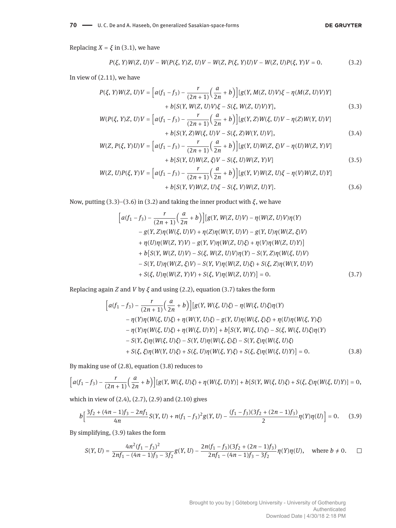Replacing  $X = \xi$  in (3.1), we have

$$
P(\xi, Y)W(Z, U)V - W(P(\xi, Y)Z, U)V - W(Z, P(\xi, Y)U)V - W(Z, U)P(\xi, Y)V = 0.
$$
\n(3.2)

In view of (2.11), we have

$$
P(\xi, Y)W(Z, U)V = \left[a(f_1 - f_3) - \frac{r}{(2n+1)}\left(\frac{a}{2n} + b\right)\right][g(Y, M(Z, U)V)\xi - \eta(M(Z, U)V)Y] + b[S(Y, W(Z, U)V)\xi - S(\xi, W(Z, U)V)Y],
$$
\n(3.3)

$$
W(P(\xi, Y)Z, U)V = \left[a(f_1 - f_3) - \frac{r}{(2n+1)}\left(\frac{a}{2n} + b\right)\right][g(Y, Z)W(\xi, U)V - \eta(Z)W(Y, U)V] + b[S(Y, Z)W(\xi, U)V - S(\xi, Z)W(Y, U)V],
$$
\n(3.4)

$$
W(Z, P(\xi, Y)U)V = \left[a(f_1 - f_3) - \frac{r}{(2n+1)}\left(\frac{a}{2n} + b\right)\right][g(Y, U)W(Z, \xi)V - \eta(U)W(Z, Y)V] + b[S(Y, U)W(Z, \xi)V - S(\xi, U)W(Z, Y)V]
$$
\n(3.5)

$$
W(Z, U)P(\xi, Y)V = \left[a(f_1 - f_3) - \frac{r}{(2n+1)}\left(\frac{a}{2n} + b\right)\right][g(Y, V)W(Z, U)\xi - \eta(V)W(Z, U)Y] + b[S(Y, V)W(Z, U)\xi - S(\xi, V)W(Z, U)Y].
$$
\n(3.6)

Now, putting (3.3)–(3.6) in (3.2) and taking the inner product with  $\zeta$ , we have

$$
\[ a(f_1 - f_3) - \frac{r}{(2n+1)} \Big( \frac{a}{2n} + b \Big) \] [g(Y, W(Z, U)V) - \eta (W(Z, U)V) \eta (Y) - g(Y, Z) \eta (W(\xi, U)V) + \eta (Z) \eta (W(Y, U)V) - g(Y, U) \eta (W(Z, \xi)V) + \eta (U) \eta (W(Z, Y)V) - g(Y, V) \eta (W(Z, U)\xi) + \eta (V) \eta (W(Z, U)Y) ]
$$
  
+  $b [S(Y, W(Z, U)V) - S(\xi, W(Z, U)V) \eta (Y) - S(Y, Z) \eta (W(\xi, U)V) - S(Y, U) \eta (W(Z, \xi)V) - S(Y, V) \eta (W(Z, U)\xi) + S(\xi, Z) \eta (W(Y, U)V) + S(\xi, U) \eta (W(Z, Y)V) + S(\xi, V) \eta (W(Z, U)Y) ] = 0. \tag{3.7}$ 

Replacing again *Z* and *V* by *ξ* and using (2.2), equation (3.7) takes the form

$$
\[ a(f_1 - f_3) - \frac{r}{(2n+1)} \Big( \frac{a}{2n} + b \Big) \] [ g(Y, W(\xi, U)\xi) - \eta(W(\xi, U)\xi)\eta(Y) - \eta(Y)\eta(W(\xi, U)\xi) + \eta(W(Y, U)\xi) - g(Y, U)\eta(W(\xi, \xi)\xi) + \eta(U)\eta(W(\xi, Y)\xi) - \eta(Y)\eta(W(\xi, U)\xi) + \eta(W(\xi, U)Y) \] + b \[ S(Y, W(\xi, U)\xi) - S(\xi, W(\xi, U)\xi)\eta(Y) - S(Y, \xi)\eta(W(\xi, U)\xi) - S(Y, \xi)\eta(W(\xi, U)\xi) + S(\xi, \xi)\eta(W(Y, U)\xi) + S(\xi, \xi)\eta(W(\xi, Y)\xi) + S(\xi, \xi)\eta(W(\xi, U)Y) \] = 0. \tag{3.8}
$$

By making use of (2.8), equation (3.8) reduces to

$$
\Big[a(f_1 - f_3) - \frac{r}{(2n+1)}\Big(\frac{a}{2n} + b\Big)\Big] [g(Y, W(\xi, U)\xi) + \eta(W(\xi, U)Y)] + b[S(Y, W(\xi, U)\xi) + S(\xi, \xi)\eta(W(\xi, U)Y)] = 0,
$$

which in view of (2.4), (2.7), (2.9) and (2.10) gives

$$
b\left[\frac{3f_2+(4n-1)f_3-2nf_1}{4n}S(Y,U)+n(f_1-f_3)^2g(Y,U)-\frac{(f_1-f_3)(3f_2+(2n-1)f_3)}{2}\eta(Y)\eta(U)\right]=0.\tag{3.9}
$$

By simplifying, (3.9) takes the form

$$
S(Y, U) = \frac{4n^2(f_1 - f_3)^2}{2nf_1 - (4n - 1)f_3 - 3f_2}g(Y, U) - \frac{2n(f_1 - f_3)(3f_2 + (2n - 1)f_3)}{2nf_1 - (4n - 1)f_3 - 3f_2}\eta(Y)\eta(U), \quad \text{where } b \neq 0.
$$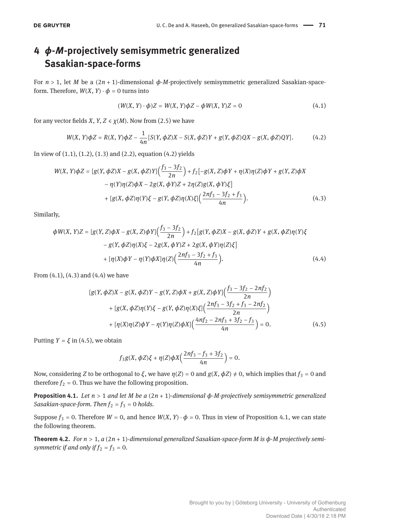## **4** *ϕ***-***M***-projectively semisymmetric generalized Sasakian-space-forms**

For *n* > 1, let *M* be a (2*n* + 1)-dimensional *ϕ*-*M*-projectively semisymmetric generalized Sasakian-spaceform. Therefore,  $W(X, Y) \cdot \phi = 0$  turns into

$$
(W(X, Y) \cdot \phi)Z = W(X, Y)\phi Z - \phi W(X, Y)Z = 0
$$
\n
$$
(4.1)
$$

for any vector fields *X*, *Y*, *Z*  $\in$  *χ*(*M*). Now from (2.5) we have

$$
W(X, Y)\phi Z = R(X, Y)\phi Z - \frac{1}{4n}[S(Y, \phi Z)X - S(X, \phi Z)Y + g(Y, \phi Z)QX - g(X, \phi Z)QY].
$$
 (4.2)

In view of (1.1), (1.2), (1.3) and (2.2), equation (4.2) yields

$$
W(X, Y)\phi Z = [g(Y, \phi Z)X - g(X, \phi Z)Y]\left(\frac{f_3 - 3f_2}{2n}\right) + f_2[-g(X, Z)\phi Y + \eta(X)\eta(Z)\phi Y + g(Y, Z)\phi X - \eta(Y)\eta(Z)\phi X - 2g(X, \phi Y)Z + 2\eta(Z)g(X, \phi Y)\xi]\n+ [g(X, \phi Z)\eta(Y)\xi - g(Y, \phi Z)\eta(X)\xi]\left(\frac{2nf_3 - 3f_2 + f_3}{4n}\right).
$$
\n(4.3)

Similarly,

$$
\phi W(X, Y)Z = [g(Y, Z)\phi X - g(X, Z)\phi Y]\left(\frac{f_3 - 3f_2}{2n}\right) + f_2[g(Y, \phi Z)X - g(X, \phi Z)Y + g(X, \phi Z)\eta(Y)\xi
$$
  

$$
- g(Y, \phi Z)\eta(X)\xi - 2g(X, \phi Y)Z + 2g(X, \phi Y)\eta(Z)\xi]
$$
  

$$
+ [\eta(X)\phi Y - \eta(Y)\phi X]\eta(Z)\left(\frac{2nf_3 - 3f_2 + f_3}{4n}\right).
$$
 (4.4)

From (4.1), (4.3) and (4.4) we have

$$
[g(Y, \phi Z)X - g(X, \phi Z)Y - g(Y, Z)\phi X + g(X, Z)\phi Y]\left(\frac{f_3 - 3f_2 - 2nf_2}{2n}\right) + [g(X, \phi Z)\eta(Y)\xi - g(Y, \phi Z)\eta(X)\xi]\left(\frac{2nf_3 - 3f_2 + f_3 - 2nf_2}{2n}\right) + [\eta(X)\eta(Z)\phi Y - \eta(Y)\eta(Z)\phi X]\left(\frac{4nf_2 - 2nf_3 + 3f_2 - f_3}{4n}\right) = 0.
$$
(4.5)

Putting  $Y = \xi$  in (4.5), we obtain

$$
f_3g(X,\phi Z)\xi+\eta(Z)\phi X\Big(\frac{2nf_3-f_3+3f_2}{4n}\Big)=0.
$$

Now, considering *Z* to be orthogonal to *ξ*, we have  $η(Z) = 0$  and  $g(X, φZ) \neq 0$ , which implies that  $f_3 = 0$  and therefore  $f_2 = 0$ . Thus we have the following proposition.

**Proposition 4.1.** *Let n* > 1 *and let M be a* (2*n* + 1)*-dimensional ϕ-M-projectively semisymmetric generalized Sasakian-space-form. Then*  $f_2 = f_3 = 0$  *holds.* 

Suppose  $f_3 = 0$ . Therefore  $W = 0$ , and hence  $W(X, Y) \cdot \phi = 0$ . Thus in view of Proposition 4.1, we can state the following theorem.

**Theorem 4.2.** *For n* > 1*, a* (2*n* + 1)*-dimensional generalized Sasakian-space-form M is ϕ-M projectively semisymmetric if and only if*  $f_2 = f_3 = 0$ *.*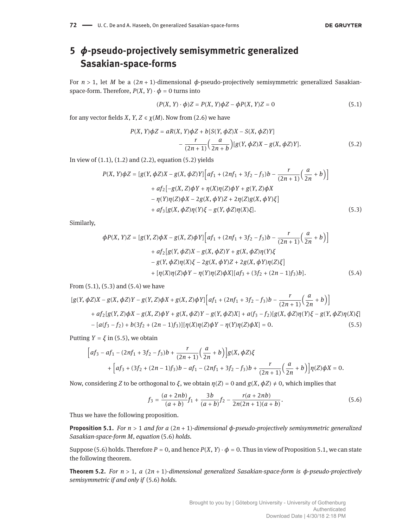## **5** *ϕ***-pseudo-projectively semisymmetric generalized Sasakian-space-forms**

For *n* > 1, let *M* be a (2*n* + 1)-dimensional *ϕ*-pseudo-projectively semisymmetric generalized Sasakianspace-form. Therefore,  $P(X, Y) \cdot \phi = 0$  turns into

$$
(P(X, Y) \cdot \phi)Z = P(X, Y)\phi Z - \phi P(X, Y)Z = 0
$$
\n
$$
(5.1)
$$

for any vector fields *X*, *Y*, *Z*  $\in \chi(M)$ . Now from (2.6) we have

$$
P(X, Y)\phi Z = aR(X, Y)\phi Z + b[S(Y, \phi Z)X - S(X, \phi Z)Y]
$$

$$
-\frac{r}{(2n+1)}\left(\frac{a}{2n+b}\right)[g(Y, \phi Z)X - g(X, \phi Z)Y].
$$
(5.2)

In view of  $(1.1)$ ,  $(1.2)$  and  $(2.2)$ , equation  $(5.2)$  yields

$$
P(X, Y)\phi Z = [g(Y, \phi Z)X - g(X, \phi Z)Y] [af_1 + (2nf_1 + 3f_2 - f_3)b - \frac{r}{(2n+1)}(\frac{a}{2n} + b)]
$$
  
+ af\_2[-g(X, Z)\phi Y + \eta(X)\eta(Z)\phi Y + g(Y, Z)\phi X  
- \eta(Y)\eta(Z)\phi X - 2g(X, \phi Y)Z + 2\eta(Z)g(X, \phi Y)\xi]  
+ af\_3[g(X, \phi Z)\eta(Y)\xi - g(Y, \phi Z)\eta(X)\xi]. (5.3)

Similarly,

$$
\phi P(X, Y)Z = [g(Y, Z)\phi X - g(X, Z)\phi Y] \Big[ af_1 + (2nf_1 + 3f_2 - f_3)b - \frac{r}{(2n+1)} \Big(\frac{a}{2n} + b\Big) \Big] + af_2[g(Y, \phi Z)X - g(X, \phi Z)Y + g(X, \phi Z)\eta(Y)\xi - g(Y, \phi Z)\eta(X)\xi - 2g(X, \phi Y)Z + 2g(X, \phi Y)\eta(Z)\xi] + [\eta(X)\eta(Z)\phi Y - \eta(Y)\eta(Z)\phi X] [af_3 + (3f_2 + (2n-1)f_3)b].
$$
 (5.4)

From  $(5.1)$ ,  $(5.3)$  and  $(5.4)$  we have

$$
[g(Y, \phi Z)X - g(X, \phi Z)Y - g(Y, Z)\phi X + g(X, Z)\phi Y]\Big[af_1 + (2nf_1 + 3f_2 - f_3)b - \frac{r}{(2n+1)}\Big(\frac{a}{2n} + b\Big)\Big] + af_2[g(Y, Z)\phi X - g(X, Z)\phi Y + g(X, \phi Z)Y - g(Y, \phi Z)X] + a(f_3 - f_2)[g(X, \phi Z)\eta(Y)\xi - g(Y, \phi Z)\eta(X)\xi] - [a(f_3 - f_2) + b(3f_2 + (2n-1)f_3)][\eta(X)\eta(Z)\phi Y - \eta(Y)\eta(Z)\phi X] = 0.
$$
 (5.5)

Putting  $Y = \xi$  in (5.5), we obtain

$$
\begin{aligned} \Big[af_3 - af_1 - (2nf_1 + 3f_2 - f_3)b + \frac{r}{(2n+1)} \Big(\frac{a}{2n} + b\Big) \Big] g(X, \phi Z) \zeta \\ + \Big[ af_3 + (3f_2 + (2n-1)f_3)b - af_1 - (2nf_1 + 3f_2 - f_3)b + \frac{r}{(2n+1)} \Big(\frac{a}{2n} + b\Big) \Big] \eta(Z) \phi X = 0. \end{aligned}
$$

Now, considering *Z* to be orthogonal to *ξ*, we obtain  $\eta(Z) = 0$  and  $g(X, \phi Z) \neq 0$ , which implies that

$$
f_3 = \frac{(a+2nb)}{(a+b)} f_1 + \frac{3b}{(a+b)} f_2 - \frac{r(a+2nb)}{2n(2n+1)(a+b)}.
$$
 (5.6)

Thus we have the following proposition.

**Proposition 5.1.** *For n* > 1 *and for a* (2*n* + 1)*-dimensional ϕ-pseudo-projectively semisymmetric generalized Sasakian-space-form M, equation* (5.6) *holds.*

Suppose (5.6) holds. Therefore  $P = 0$ , and hence  $P(X, Y) \cdot \phi = 0$ . Thus in view of Proposition 5.1, we can state the following theorem.

**Theorem 5.2.** *For n* > 1*, a* (2*n* + 1)*-dimensional generalized Sasakian-space-form is ϕ-pseudo-projectively semisymmetric if and only if* (5.6) *holds.*